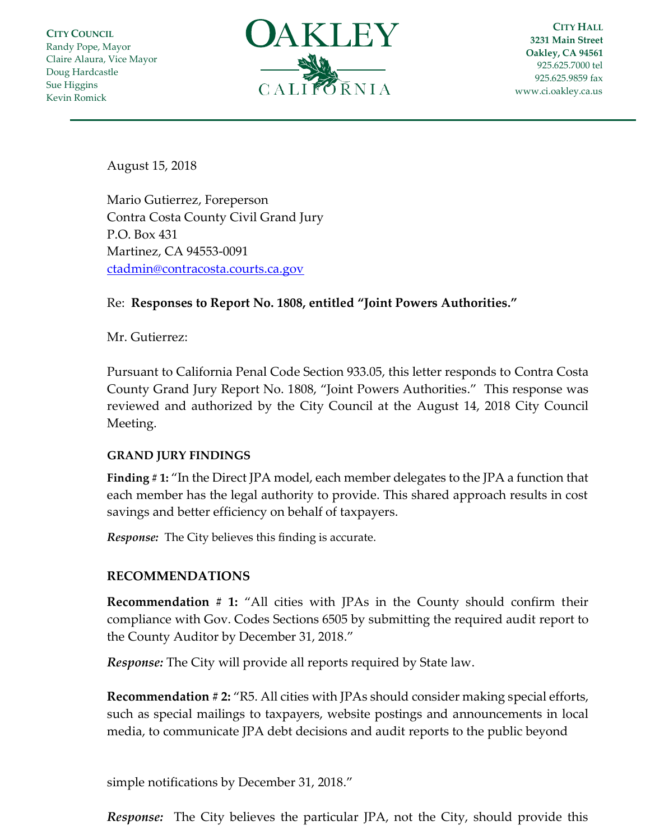**CITY COUNCIL** Randy Pope, Mayor Claire Alaura, Vice Mayor Doug Hardcastle Sue Higgins Kevin Romick



**CITY HALL 3231 Main Street Oakley, CA 94561** 925.625.7000 tel 925.625.9859 fax [www.ci.oakley.ca.us](http://www.ci.oakley.ca.us/)

August 15, 2018

Mario Gutierrez, Foreperson Contra Costa County Civil Grand Jury P.O. Box 431 Martinez, CA 94553-0091 [ctadmin@contracosta.courts.ca.gov](mailto:ctadmin@contracosta.courts.ca.gov)

## Re: **Responses to Report No. 1808, entitled "Joint Powers Authorities."**

Mr. Gutierrez:

Pursuant to California Penal Code Section 933.05, this letter responds to Contra Costa County Grand Jury Report No. 1808, "Joint Powers Authorities." This response was reviewed and authorized by the City Council at the August 14, 2018 City Council Meeting.

## **GRAND JURY FINDINGS**

**Finding # 1:** "In the Direct JPA model, each member delegates to the JPA a function that each member has the legal authority to provide. This shared approach results in cost savings and better efficiency on behalf of taxpayers.

*Response:* The City believes this finding is accurate.

## **RECOMMENDATIONS**

**Recommendation # 1:** "All cities with JPAs in the County should confirm their compliance with Gov. Codes Sections 6505 by submitting the required audit report to the County Auditor by December 31, 2018."

*Response:* The City will provide all reports required by State law.

**Recommendation # 2:** "R5. All cities with JPAs should consider making special efforts, such as special mailings to taxpayers, website postings and announcements in local media, to communicate JPA debt decisions and audit reports to the public beyond

simple notifications by December 31, 2018."

*Response:* The City believes the particular JPA, not the City, should provide this